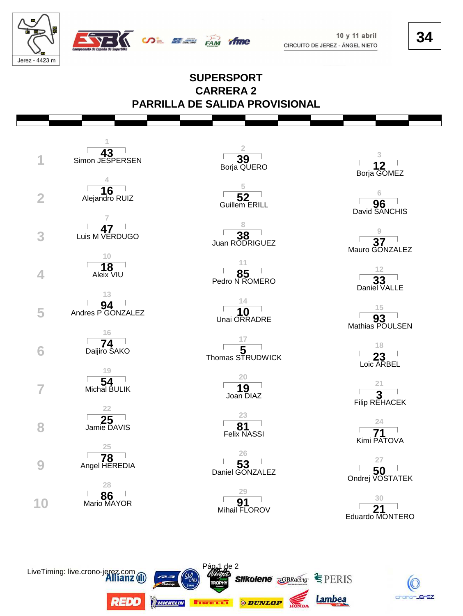

 $10y11$  abril CIRCUITO DE JEREZ - ÁNGEL NIETO **34**

## **SUPERSPORT CARRERA 2 PARRILLA DE SALIDA PROVISIONAL**

**SALE OF THE STATE** 



LiveTiming: live.crono-jer

REDD

**MICHELIN** 



**2**

| 85             |
|----------------|
| Pedro N ROMERO |

**14** Unai ORRADRE

**17**

| Joan DIAZ |                                     |
|-----------|-------------------------------------|
|           | . <del>.</del> .<br>$- \cdot \cdot$ |

**23 81**<br>Felix NASSI

**26** Daniel GONZALEZ **50**

**29 91** and **21** and **21** and **21** and **21** 

de 2

**EIRELLT ODUNLOP** 

**Silkolene GBRacing SPERIS** 

Lambea



**6 96**<br>David SANCHIS



Pedro N ROMERO **33 12**



**18** 23<br>Loic ARBEL

| Filip REHACEK |  |
|---------------|--|

**24** Kimi PATOVA

|                 | 50 |  |  |
|-----------------|----|--|--|
| Ondrej VOSTATEK |    |  |  |